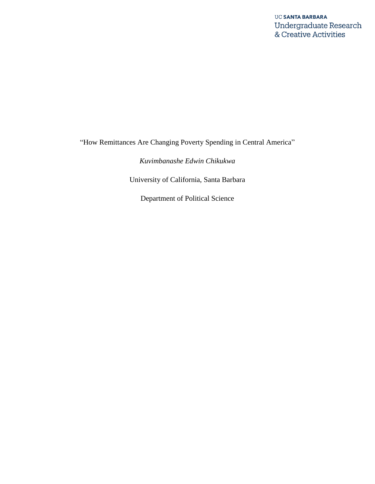"How Remittances Are Changing Poverty Spending in Central America"

*Kuvimbanashe Edwin Chikukwa*

University of California, Santa Barbara

Department of Political Science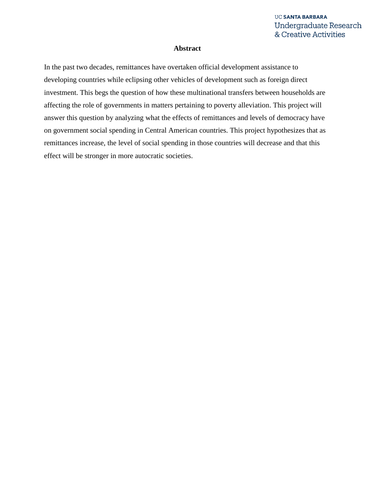### **Abstract**

In the past two decades, remittances have overtaken official development assistance to developing countries while eclipsing other vehicles of development such as foreign direct investment. This begs the question of how these multinational transfers between households are affecting the role of governments in matters pertaining to poverty alleviation. This project will answer this question by analyzing what the effects of remittances and levels of democracy have on government social spending in Central American countries. This project hypothesizes that as remittances increase, the level of social spending in those countries will decrease and that this effect will be stronger in more autocratic societies.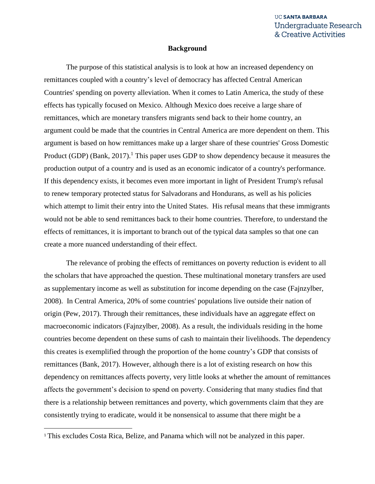### **Background**

The purpose of this statistical analysis is to look at how an increased dependency on remittances coupled with a country's level of democracy has affected Central American Countries' spending on poverty alleviation. When it comes to Latin America, the study of these effects has typically focused on Mexico. Although Mexico does receive a large share of remittances, which are monetary transfers migrants send back to their home country, an argument could be made that the countries in Central America are more dependent on them. This argument is based on how remittances make up a larger share of these countries' Gross Domestic Product (GDP) (Bank,  $2017$ ).<sup>1</sup> This paper uses GDP to show dependency because it measures the production output of a country and is used as an economic indicator of a country's performance. If this dependency exists, it becomes even more important in light of President Trump's refusal to renew temporary protected status for Salvadorans and Hondurans, as well as his policies which attempt to limit their entry into the United States. His refusal means that these immigrants would not be able to send remittances back to their home countries. Therefore, to understand the effects of remittances, it is important to branch out of the typical data samples so that one can create a more nuanced understanding of their effect.

The relevance of probing the effects of remittances on poverty reduction is evident to all the scholars that have approached the question. These multinational monetary transfers are used as supplementary income as well as substitution for income depending on the case (Fajnzylber, 2008). In Central America, 20% of some countries' populations live outside their nation of origin (Pew, 2017). Through their remittances, these individuals have an aggregate effect on macroeconomic indicators (Fajnzylber, 2008). As a result, the individuals residing in the home countries become dependent on these sums of cash to maintain their livelihoods. The dependency this creates is exemplified through the proportion of the home country's GDP that consists of remittances (Bank, 2017). However, although there is a lot of existing research on how this dependency on remittances affects poverty, very little looks at whether the amount of remittances affects the government's decision to spend on poverty. Considering that many studies find that there is a relationship between remittances and poverty, which governments claim that they are consistently trying to eradicate, would it be nonsensical to assume that there might be a

 $\overline{\phantom{a}}$ 

<sup>&</sup>lt;sup>1</sup> This excludes Costa Rica, Belize, and Panama which will not be analyzed in this paper.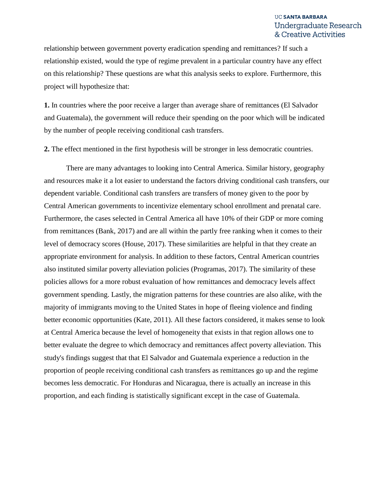relationship between government poverty eradication spending and remittances? If such a relationship existed, would the type of regime prevalent in a particular country have any effect on this relationship? These questions are what this analysis seeks to explore. Furthermore, this project will hypothesize that:

**1.** In countries where the poor receive a larger than average share of remittances (El Salvador and Guatemala), the government will reduce their spending on the poor which will be indicated by the number of people receiving conditional cash transfers.

**2.** The effect mentioned in the first hypothesis will be stronger in less democratic countries.

There are many advantages to looking into Central America. Similar history, geography and resources make it a lot easier to understand the factors driving conditional cash transfers, our dependent variable. Conditional cash transfers are transfers of money given to the poor by Central American governments to incentivize elementary school enrollment and prenatal care. Furthermore, the cases selected in Central America all have 10% of their GDP or more coming from remittances (Bank, 2017) and are all within the partly free ranking when it comes to their level of democracy scores (House, 2017). These similarities are helpful in that they create an appropriate environment for analysis. In addition to these factors, Central American countries also instituted similar poverty alleviation policies (Programas, 2017). The similarity of these policies allows for a more robust evaluation of how remittances and democracy levels affect government spending. Lastly, the migration patterns for these countries are also alike, with the majority of immigrants moving to the United States in hope of fleeing violence and finding better economic opportunities (Kate, 2011). All these factors considered, it makes sense to look at Central America because the level of homogeneity that exists in that region allows one to better evaluate the degree to which democracy and remittances affect poverty alleviation. This study's findings suggest that that El Salvador and Guatemala experience a reduction in the proportion of people receiving conditional cash transfers as remittances go up and the regime becomes less democratic. For Honduras and Nicaragua, there is actually an increase in this proportion, and each finding is statistically significant except in the case of Guatemala.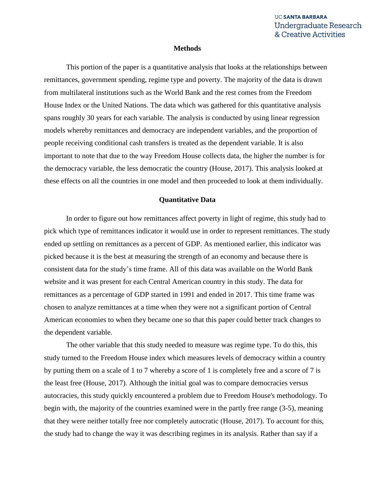### **Methods**

This portion of the paper is a quantitative analysis that looks at the relationships between remittances, government spending, regime type and poverty. The majority of the data is drawn from multilateral institutions such as the World Bank and the rest comes from the Freedom House Index or the United Nations. The data which was gathered for this quantitative analysis spans roughly 30 years for each variable. The analysis is conducted by using linear regression models whereby remittances and democracy are independent variables, and the proportion of people receiving conditional cash transfers is treated as the dependent variable. It is also important to note that due to the way Freedom House collects data, the higher the number is for the democracy variable, the less democratic the country (House, 2017). This analysis looked at these effects on all the countries in one model and then proceeded to look at them individually.

### **Quantitative Data**

In order to figure out how remittances affect poverty in light of regime, this study had to pick which type of remittances indicator it would use in order to represent remittances. The study ended up settling on remittances as a percent of GDP. As mentioned earlier, this indicator was picked because it is the best at measuring the strength of an economy and because there is consistent data for the study's time frame. All of this data was available on the World Bank website and it was present for each Central American country in this study. The data for remittances as a percentage of GDP started in 1991 and ended in 2017. This time frame was chosen to analyze remittances at a time when they were not a significant portion of Central American economies to when they became one so that this paper could better track changes to the dependent variable.

The other variable that this study needed to measure was regime type. To do this, this study turned to the Freedom House index which measures levels of democracy within a country by putting them on a scale of 1 to 7 whereby a score of 1 is completely free and a score of 7 is the least free (House, 2017). Although the initial goal was to compare democracies versus autocracies, this study quickly encountered a problem due to Freedom House's methodology. To begin with, the majority of the countries examined were in the partly free range (3-5), meaning that they were neither totally free nor completely autocratic (House, 2017). To account for this, the study had to change the way it was describing regimes in its analysis. Rather than say if a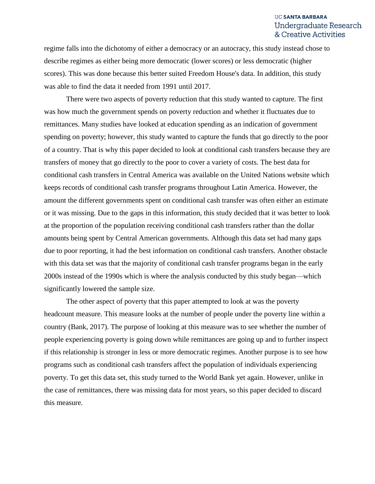regime falls into the dichotomy of either a democracy or an autocracy, this study instead chose to describe regimes as either being more democratic (lower scores) or less democratic (higher scores). This was done because this better suited Freedom House's data. In addition, this study was able to find the data it needed from 1991 until 2017.

There were two aspects of poverty reduction that this study wanted to capture. The first was how much the government spends on poverty reduction and whether it fluctuates due to remittances. Many studies have looked at education spending as an indication of government spending on poverty; however, this study wanted to capture the funds that go directly to the poor of a country. That is why this paper decided to look at conditional cash transfers because they are transfers of money that go directly to the poor to cover a variety of costs. The best data for conditional cash transfers in Central America was available on the United Nations website which keeps records of conditional cash transfer programs throughout Latin America. However, the amount the different governments spent on conditional cash transfer was often either an estimate or it was missing. Due to the gaps in this information, this study decided that it was better to look at the proportion of the population receiving conditional cash transfers rather than the dollar amounts being spent by Central American governments. Although this data set had many gaps due to poor reporting, it had the best information on conditional cash transfers. Another obstacle with this data set was that the majority of conditional cash transfer programs began in the early 2000s instead of the 1990s which is where the analysis conducted by this study began—which significantly lowered the sample size.

The other aspect of poverty that this paper attempted to look at was the poverty headcount measure. This measure looks at the number of people under the poverty line within a country (Bank, 2017). The purpose of looking at this measure was to see whether the number of people experiencing poverty is going down while remittances are going up and to further inspect if this relationship is stronger in less or more democratic regimes. Another purpose is to see how programs such as conditional cash transfers affect the population of individuals experiencing poverty. To get this data set, this study turned to the World Bank yet again. However, unlike in the case of remittances, there was missing data for most years, so this paper decided to discard this measure.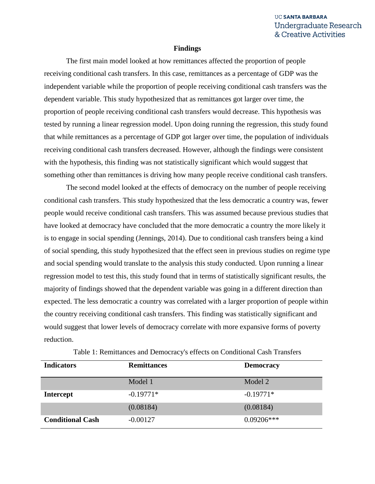#### **Findings**

The first main model looked at how remittances affected the proportion of people receiving conditional cash transfers. In this case, remittances as a percentage of GDP was the independent variable while the proportion of people receiving conditional cash transfers was the dependent variable. This study hypothesized that as remittances got larger over time, the proportion of people receiving conditional cash transfers would decrease. This hypothesis was tested by running a linear regression model. Upon doing running the regression, this study found that while remittances as a percentage of GDP got larger over time, the population of individuals receiving conditional cash transfers decreased. However, although the findings were consistent with the hypothesis, this finding was not statistically significant which would suggest that something other than remittances is driving how many people receive conditional cash transfers.

The second model looked at the effects of democracy on the number of people receiving conditional cash transfers. This study hypothesized that the less democratic a country was, fewer people would receive conditional cash transfers. This was assumed because previous studies that have looked at democracy have concluded that the more democratic a country the more likely it is to engage in social spending (Jennings, 2014). Due to conditional cash transfers being a kind of social spending, this study hypothesized that the effect seen in previous studies on regime type and social spending would translate to the analysis this study conducted. Upon running a linear regression model to test this, this study found that in terms of statistically significant results, the majority of findings showed that the dependent variable was going in a different direction than expected. The less democratic a country was correlated with a larger proportion of people within the country receiving conditional cash transfers. This finding was statistically significant and would suggest that lower levels of democracy correlate with more expansive forms of poverty reduction.

| <b>Indicators</b>       | <b>Remittances</b> | <b>Democracy</b> |
|-------------------------|--------------------|------------------|
|                         | Model 1            | Model 2          |
| <b>Intercept</b>        | $-0.19771*$        | $-0.19771*$      |
|                         | (0.08184)          | (0.08184)        |
| <b>Conditional Cash</b> | $-0.00127$         | $0.09206***$     |

| Table 1: Remittances and Democracy's effects on Conditional Cash Transfers |  |  |  |  |
|----------------------------------------------------------------------------|--|--|--|--|
|----------------------------------------------------------------------------|--|--|--|--|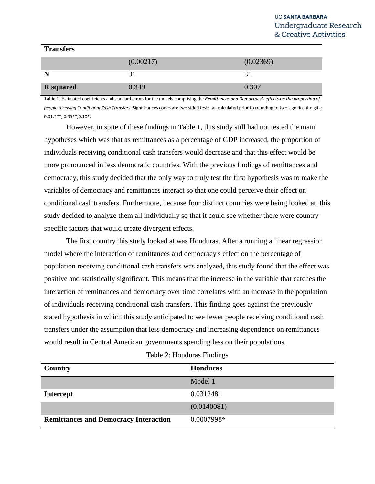### **Transfers**

|                  | (0.00217) | (0.02369) |
|------------------|-----------|-----------|
| N                |           |           |
| <b>R</b> squared | 0.349     | 0.307     |

Table 1. Estimated coefficients and standard errors for the models comprising the *Remittances and Democracy's effects on the proportion of people receiving Conditional Cash Transfers.* Significances codes are two sided tests, all calculated prior to rounding to two significant digits;  $0.01$ ,\*\*\*,  $0.05$ \*\*,  $0.10$ \*.

However, in spite of these findings in Table 1, this study still had not tested the main hypotheses which was that as remittances as a percentage of GDP increased, the proportion of individuals receiving conditional cash transfers would decrease and that this effect would be more pronounced in less democratic countries. With the previous findings of remittances and democracy, this study decided that the only way to truly test the first hypothesis was to make the variables of democracy and remittances interact so that one could perceive their effect on conditional cash transfers. Furthermore, because four distinct countries were being looked at, this study decided to analyze them all individually so that it could see whether there were country specific factors that would create divergent effects.

The first country this study looked at was Honduras. After a running a linear regression model where the interaction of remittances and democracy's effect on the percentage of population receiving conditional cash transfers was analyzed, this study found that the effect was positive and statistically significant. This means that the increase in the variable that catches the interaction of remittances and democracy over time correlates with an increase in the population of individuals receiving conditional cash transfers. This finding goes against the previously stated hypothesis in which this study anticipated to see fewer people receiving conditional cash transfers under the assumption that less democracy and increasing dependence on remittances would result in Central American governments spending less on their populations.

| <b>Country</b>                               | <b>Honduras</b> |
|----------------------------------------------|-----------------|
|                                              | Model 1         |
| <b>Intercept</b>                             | 0.0312481       |
|                                              | (0.0140081)     |
| <b>Remittances and Democracy Interaction</b> | 0.0007998*      |

### Table 2: Honduras Findings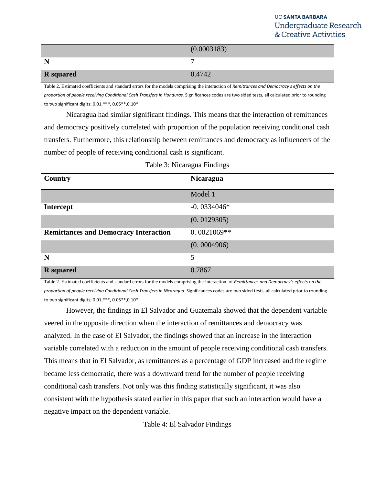|                  | (0.0003183) |
|------------------|-------------|
| $\mathbf N$      |             |
| <b>R</b> squared | 0.4742      |

Table 2. Estimated coefficients and standard errors for the models comprising the interaction of *Remittances and Democracy's effects on the proportion of people receiving Conditional Cash Transfers in Honduras.* Significances codes are two sided tests, all calculated prior to rounding to two significant digits; 0.01,\*\*\*, 0.05\*\*,0.10\*

Nicaragua had similar significant findings. This means that the interaction of remittances and democracy positively correlated with proportion of the population receiving conditional cash transfers. Furthermore, this relationship between remittances and democracy as influencers of the number of people of receiving conditional cash is significant.

| Country                                      | <b>Nicaragua</b> |
|----------------------------------------------|------------------|
|                                              | Model 1          |
| <b>Intercept</b>                             | $-0.0334046*$    |
|                                              | (0.0129305)      |
| <b>Remittances and Democracy Interaction</b> | $0.0021069**$    |
|                                              | (0.0004906)      |
| N                                            | 5                |
| <b>R</b> squared                             | 0.7867           |

Table 3: Nicaragua Findings

Table 2. Estimated coefficients and standard errors for the models comprising the Interaction of *Remittances and Democracy's effects on the proportion of people receiving Conditional Cash Transfers in Nicaragua.* Significances codes are two sided tests, all calculated prior to rounding to two significant digits; 0.01,\*\*\*, 0.05\*\*,0.10\*

However, the findings in El Salvador and Guatemala showed that the dependent variable veered in the opposite direction when the interaction of remittances and democracy was analyzed. In the case of El Salvador, the findings showed that an increase in the interaction variable correlated with a reduction in the amount of people receiving conditional cash transfers. This means that in El Salvador, as remittances as a percentage of GDP increased and the regime became less democratic, there was a downward trend for the number of people receiving conditional cash transfers. Not only was this finding statistically significant, it was also consistent with the hypothesis stated earlier in this paper that such an interaction would have a negative impact on the dependent variable.

Table 4: El Salvador Findings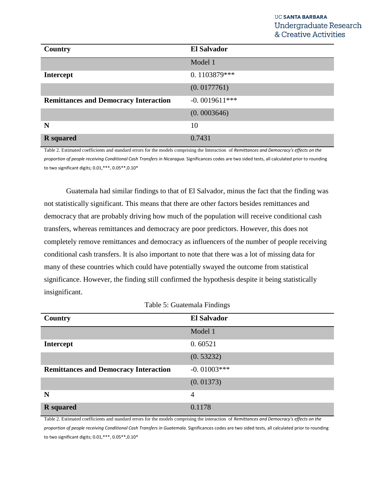| Country                                      | <b>El Salvador</b> |
|----------------------------------------------|--------------------|
|                                              | Model 1            |
| <b>Intercept</b>                             | 0.1103879***       |
|                                              | (0.0177761)        |
| <b>Remittances and Democracy Interaction</b> | $-0.0019611***$    |
|                                              | (0.0003646)        |
| N                                            | 10                 |
| <b>R</b> squared                             | 0.7431             |

Table 2. Estimated coefficients and standard errors for the models comprising the Interaction of *Remittances and Democracy's effects on the proportion of people receiving Conditional Cash Transfers in Nicaragua.* Significances codes are two sided tests, all calculated prior to rounding to two significant digits; 0.01,\*\*\*, 0.05\*\*,0.10\*

Guatemala had similar findings to that of El Salvador, minus the fact that the finding was not statistically significant. This means that there are other factors besides remittances and democracy that are probably driving how much of the population will receive conditional cash transfers, whereas remittances and democracy are poor predictors. However, this does not completely remove remittances and democracy as influencers of the number of people receiving conditional cash transfers. It is also important to note that there was a lot of missing data for many of these countries which could have potentially swayed the outcome from statistical significance. However, the finding still confirmed the hypothesis despite it being statistically insignificant.

| Country                                      | <b>El Salvador</b> |
|----------------------------------------------|--------------------|
|                                              | Model 1            |
| <b>Intercept</b>                             | 0.60521            |
|                                              | (0.53232)          |
| <b>Remittances and Democracy Interaction</b> | $-0.01003***$      |
|                                              | (0.01373)          |
| N                                            | $\overline{4}$     |
| <b>R</b> squared                             | 0.1178             |

Table 2. Estimated coefficients and standard errors for the models comprising the interaction of *Remittances and Democracy's effects on the proportion of people receiving Conditional Cash Transfers in Guatemala.* Significances codes are two sided tests, all calculated prior to rounding to two significant digits; 0.01,\*\*\*, 0.05\*\*,0.10\*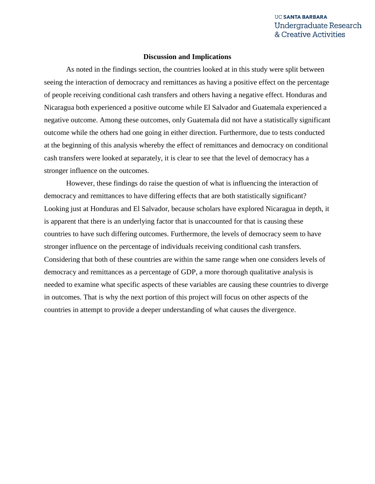### **Discussion and Implications**

As noted in the findings section, the countries looked at in this study were split between seeing the interaction of democracy and remittances as having a positive effect on the percentage of people receiving conditional cash transfers and others having a negative effect. Honduras and Nicaragua both experienced a positive outcome while El Salvador and Guatemala experienced a negative outcome. Among these outcomes, only Guatemala did not have a statistically significant outcome while the others had one going in either direction. Furthermore, due to tests conducted at the beginning of this analysis whereby the effect of remittances and democracy on conditional cash transfers were looked at separately, it is clear to see that the level of democracy has a stronger influence on the outcomes.

However, these findings do raise the question of what is influencing the interaction of democracy and remittances to have differing effects that are both statistically significant? Looking just at Honduras and El Salvador, because scholars have explored Nicaragua in depth, it is apparent that there is an underlying factor that is unaccounted for that is causing these countries to have such differing outcomes. Furthermore, the levels of democracy seem to have stronger influence on the percentage of individuals receiving conditional cash transfers. Considering that both of these countries are within the same range when one considers levels of democracy and remittances as a percentage of GDP, a more thorough qualitative analysis is needed to examine what specific aspects of these variables are causing these countries to diverge in outcomes. That is why the next portion of this project will focus on other aspects of the countries in attempt to provide a deeper understanding of what causes the divergence.